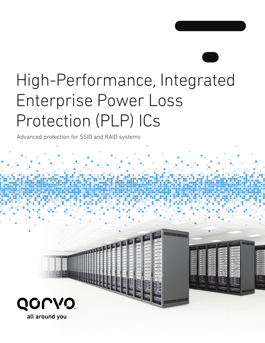# High-Performance, Integrated Enterprise Power Loss Protection (PLP) ICs

Advanced protection for SSID and RAID systems

**SAFEFEREES** 

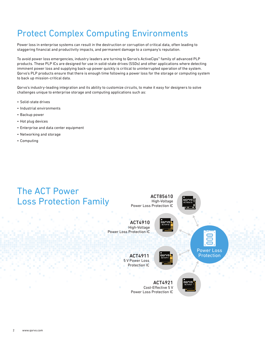# Protect Complex Computing Environments

Power loss in enterprise systems can result in the destruction or corruption of critical data, often leading to staggering financial and productivity impacts, and permanent damage to a company's reputation.

To avoid power loss emergencies, industry leaders are turning to Qorvo's ActiveCips™ family of advanced PLP products. These PLP ICs are designed for use in solid-state drives (SSDs) and other applications where detecting imminent power loss and supplying back-up power quickly is critical to uninterrupted operation of the system. Qorvo's PLP products ensure that there is enough time following a power loss for the storage or computing system to back up mission-critical data.

Qorvo's industry-leading integration and its ability to customize circuits, to make it easy for designers to solve challenges unique to enterprise storage and computing applications such as:

- Solid-state drives
- Industrial environments
- Backup power
- Hot plug devices
- Enterprise and data center equipment
- Networking and storage
- Computing

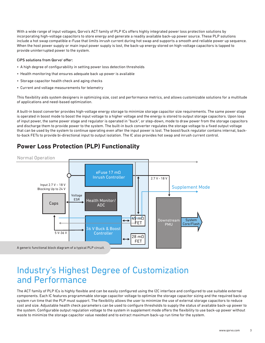With a wide range of input voltages, Qorvo's ACT family of PLP ICs offers highly integrated power loss protection solutions by incorporating high-voltage capacitors to store energy and generate a readily available back-up power source. These PLP solutions include a hot swap compatible e-Fuse that limits inrush current during hot swap and supports a smooth and reliable power up sequence. When the host power supply or main input power supply is lost, the back-up energy stored on high-voltage capacitors is tapped to provide uninterrupted power to the system.

#### CiPS solutions from Qorvo® offer:

- A high degree of configurability in setting power loss detection thresholds
- Health monitoring that ensures adequate back up power is available
- Storage capacitor health check and aging checks
- Current and voltage measurements for telemetry

This flexibility aids system designers in optimizing size, cost and performance metrics, and allows customizable solutions for a multitude of applications and need-based optimization.

A built-in boost converter provides high-voltage energy storage to minimize storage capacitor size requirements. The same power stage is operated in boost mode to boost the input voltage to a higher voltage and the energy is stored to output storage capacitors. Upon loss of input power, the same power stage and regulator is operated in "buck", or step-down, mode to draw power from the storage capacitors and discharge them to provide power to the system. The built-in buck converter regulates the storage voltage to a fixed output voltage that can be used by the system to continue operating even after the input power is lost. The boost/buck regulator contains internal, backto-back FETs to provide bi-directional input to output isolation. The IC also provides hot swap and inrush current control.

## **Power Loss Protection (PLP) Functionality**



## Industry's Highest Degree of Customization and Performance

The ACT family of PLP ICs is highly flexible and can be easily configured using the I2C interface and configured to use suitable external components. Each IC features programmable storage capacitor voltage to optimize the storage capacitor sizing and the required back-up system run time that the PLP must support. The flexibility allows the user to minimize the use of external storage capacitors to reduce cost and size. Adjustable health check parameters can be used to configure thresholds to supply the status of available back-up power to the system. Configurable output regulation voltage to the system in supplement mode offers the flexibility to use back-up power without waste to minimize the storage capacitor value needed and to extract maximum back-up run time for the system.